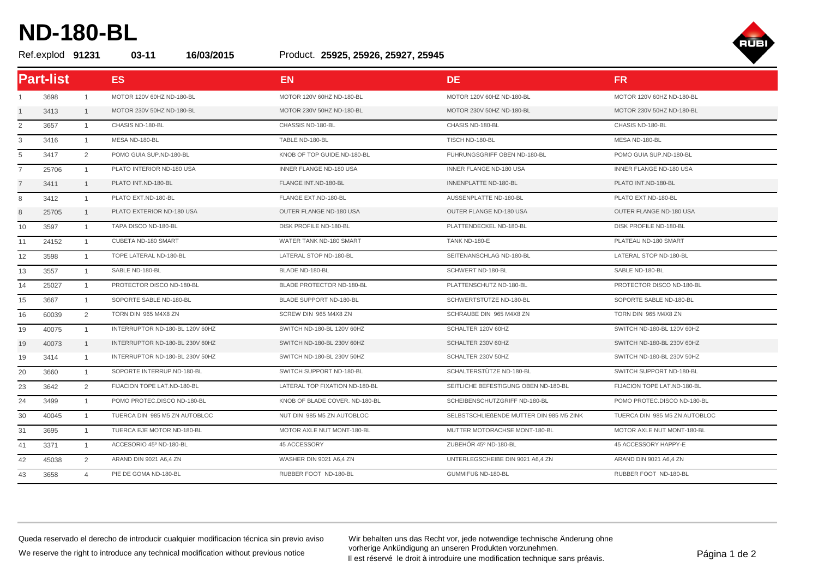## **ND-180-BL**

## Product. Ref.explod **91231 03-11 16/03/2015 25925, 25926, 25927, 25945**



|                | <b>Part-list</b> |                | ES <sub></sub>                  | <b>EN</b>                      | DE.                                      | <b>FR</b>                     |
|----------------|------------------|----------------|---------------------------------|--------------------------------|------------------------------------------|-------------------------------|
|                | 3698             | $\mathbf{1}$   | MOTOR 120V 60HZ ND-180-BL       | MOTOR 120V 60HZ ND-180-BL      | MOTOR 120V 60HZ ND-180-BL                | MOTOR 120V 60HZ ND-180-BL     |
|                | 3413             | 1              | MOTOR 230V 50HZ ND-180-BL       | MOTOR 230V 50HZ ND-180-BL      | MOTOR 230V 50HZ ND-180-BL                | MOTOR 230V 50HZ ND-180-BL     |
| 2              | 3657             | 1              | CHASIS ND-180-BL                | CHASSIS ND-180-BL              | CHASIS ND-180-BL                         | CHASIS ND-180-BL              |
| 3              | 3416             | $\overline{1}$ | MESA ND-180-BL                  | TABLE ND-180-BL                | TISCH ND-180-BL                          | MESA ND-180-BL                |
| 5              | 3417             | $\overline{2}$ | POMO GUIA SUP.ND-180-BL         | KNOB OF TOP GUIDE.ND-180-BL    | FÜHRUNGSGRIFF OBEN ND-180-BL             | POMO GUIA SUP.ND-180-BL       |
| 7              | 25706            | $\mathbf{1}$   | PLATO INTERIOR ND-180 USA       | INNER FLANGE ND-180 USA        | INNER FLANGE ND-180 USA                  | INNER FLANGE ND-180 USA       |
| $\overline{7}$ | 3411             | 1              | PLATO INT.ND-180-BL             | FLANGE INT.ND-180-BL           | INNENPLATTE ND-180-BL                    | PLATO INT.ND-180-BL           |
| 8              | 3412             | $\mathbf{1}$   | PLATO EXT.ND-180-BL             | FLANGE EXT.ND-180-BL           | AUSSENPLATTE ND-180-BL                   | PLATO EXT.ND-180-BL           |
| 8              | 25705            | $\mathbf{1}$   | PLATO EXTERIOR ND-180 USA       | OUTER FLANGE ND-180 USA        | OUTER FLANGE ND-180 USA                  | OUTER FLANGE ND-180 USA       |
| 10             | 3597             | $\overline{1}$ | TAPA DISCO ND-180-BL            | <b>DISK PROFILE ND-180-BL</b>  | PLATTENDECKEL ND-180-BL                  | DISK PROFILE ND-180-BL        |
| 11             | 24152            | $\overline{1}$ | CUBETA ND-180 SMART             | WATER TANK ND-180 SMART        | TANK ND-180-E                            | PLATEAU ND-180 SMART          |
| 12             | 3598             | $\mathbf{1}$   | TOPE LATERAL ND-180-BL          | LATERAL STOP ND-180-BL         | SEITENANSCHLAG ND-180-BL                 | LATERAL STOP ND-180-BL        |
| 13             | 3557             | $\overline{1}$ | SABLE ND-180-BL                 | BLADE ND-180-BL                | SCHWERT ND-180-BL                        | SABLE ND-180-BL               |
| 14             | 25027            | $\overline{1}$ | PROTECTOR DISCO ND-180-BL       | BLADE PROTECTOR ND-180-BL      | PLATTENSCHUTZ ND-180-BL                  | PROTECTOR DISCO ND-180-BL     |
| 15             | 3667             | $\overline{1}$ | SOPORTE SABLE ND-180-BL         | <b>BLADE SUPPORT ND-180-BL</b> | SCHWERTSTÜTZE ND-180-BL                  | SOPORTE SABLE ND-180-BL       |
| 16             | 60039            | $\overline{2}$ | TORN DIN 965 M4X8 ZN            | SCREW DIN 965 M4X8 ZN          | SCHRAUBE DIN 965 M4X8 ZN                 | TORN DIN 965 M4X8 ZN          |
| 19             | 40075            | $\mathbf{1}$   | INTERRUPTOR ND-180-BL 120V 60HZ | SWITCH ND-180-BL 120V 60HZ     | SCHALTER 120V 60HZ                       | SWITCH ND-180-BL 120V 60HZ    |
| 19             | 40073            | 1              | INTERRUPTOR ND-180-BL 230V 60HZ | SWITCH ND-180-BL 230V 60HZ     | SCHALTER 230V 60HZ                       | SWITCH ND-180-BL 230V 60HZ    |
| 19             | 3414             | $\mathbf{1}$   | INTERRUPTOR ND-180-BL 230V 50HZ | SWITCH ND-180-BL 230V 50HZ     | SCHALTER 230V 50HZ                       | SWITCH ND-180-BL 230V 50HZ    |
| 20             | 3660             | $\mathbf{1}$   | SOPORTE INTERRUP.ND-180-BL      | SWITCH SUPPORT ND-180-BL       | SCHALTERSTÜTZE ND-180-BL                 | SWITCH SUPPORT ND-180-BL      |
| 23             | 3642             | 2              | FIJACION TOPE LAT.ND-180-BL     | LATERAL TOP FIXATION ND-180-BL | SEITLICHE BEFESTIGUNG OBEN ND-180-BL     | FIJACION TOPE LAT.ND-180-BL   |
| 24             | 3499             | $\mathbf{1}$   | POMO PROTEC.DISCO ND-180-BL     | KNOB OF BLADE COVER. ND-180-BL | SCHEIBENSCHUTZGRIFF ND-180-BL            | POMO PROTEC.DISCO ND-180-BL   |
| 30             | 40045            | $\overline{1}$ | TUERCA DIN 985 M5 ZN AUTOBLOC   | NUT DIN 985 M5 ZN AUTOBLOC     | SELBSTSCHLIEßENDE MUTTER DIN 985 M5 ZINK | TUERCA DIN 985 M5 ZN AUTOBLOC |
| 31             | 3695             | $\mathbf{1}$   | TUERCA EJE MOTOR ND-180-BL      | MOTOR AXLE NUT MONT-180-BL     | MUTTER MOTORACHSE MONT-180-BL            | MOTOR AXLE NUT MONT-180-BL    |
| 41             | 3371             | $\overline{1}$ | ACCESORIO 45º ND-180-BL         | 45 ACCESSORY                   | ZUBEHÖR 45° ND-180-BL                    | 45 ACCESSORY HAPPY-E          |
| 42             | 45038            | $\overline{2}$ | ARAND DIN 9021 A6,4 ZN          | WASHER DIN 9021 A6,4 ZN        | UNTERLEGSCHEIBE DIN 9021 A6,4 ZN         | ARAND DIN 9021 A6,4 ZN        |
| 43             | 3658             | $\overline{4}$ | PIE DE GOMA ND-180-BL           | RUBBER FOOT ND-180-BL          | GUMMIFUß ND-180-BL                       | RUBBER FOOT ND-180-BL         |

Queda reservado el derecho de introducir cualquier modificacion técnica sin previo aviso We reserve the right to introduce any technical modification without previous notice

Wir behalten uns das Recht vor, jede notwendige technische Änderung ohne vorherige Ankündigung an unseren Produkten vorzunehmen. Vornenge Ankunaigung an unseren Produkten vorzunenmen.<br>Il est réservé le droit à introduire une modification technique sans préavis.